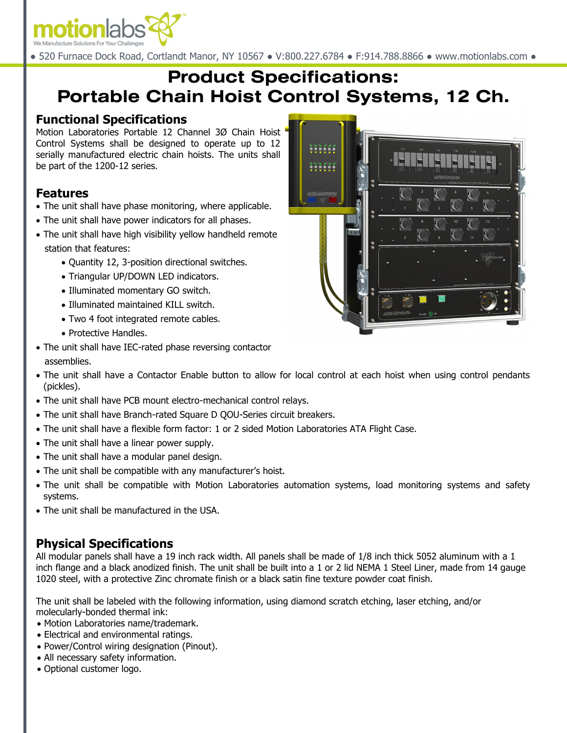

● 520 Furnace Dock Road, Cortlandt Manor, NY 10567 ● V:800.227.6784 ● F:914.788.8866 ● www.motionlabs.com ●

# **Product Specifications: Portable Chain Hoist Control Systems, 12 Ch.**

#### **Functional Specifications**

Motion Laboratories Portable 12 Channel 3Ø Chain Hoist Control Systems shall be designed to operate up to 12 serially manufactured electric chain hoists. The units shall be part of the 1200-12 series.

## **Features**

- The unit shall have phase monitoring, where applicable.
- The unit shall have power indicators for all phases.
- The unit shall have high visibility yellow handheld remote station that features:
	- Quantity 12, 3-position directional switches.
	- Triangular UP/DOWN LED indicators.
	- Illuminated momentary GO switch.
	- Illuminated maintained KILL switch.
	- Two 4 foot integrated remote cables.
	- Protective Handles.
- The unit shall have IEC-rated phase reversing contactor assemblies.
- The unit shall have a Contactor Enable button to allow for local control at each hoist when using control pendants (pickles).
- The unit shall have PCB mount electro-mechanical control relays.
- The unit shall have Branch-rated Square D QOU-Series circuit breakers.
- The unit shall have a flexible form factor: 1 or 2 sided Motion Laboratories ATA Flight Case.
- The unit shall have a linear power supply.
- The unit shall have a modular panel design.
- The unit shall be compatible with any manufacturer's hoist.
- The unit shall be compatible with Motion Laboratories automation systems, load monitoring systems and safety systems.
- The unit shall be manufactured in the USA.

# **Physical Specifications**

All modular panels shall have a 19 inch rack width. All panels shall be made of 1/8 inch thick 5052 aluminum with a 1 inch flange and a black anodized finish. The unit shall be built into a 1 or 2 lid NEMA 1 Steel Liner, made from 14 gauge 1020 steel, with a protective Zinc chromate finish or a black satin fine texture powder coat finish.

The unit shall be labeled with the following information, using diamond scratch etching, laser etching, and/or molecularly-bonded thermal ink:

- Motion Laboratories name/trademark.
- Electrical and environmental ratings.
- Power/Control wiring designation (Pinout).
- All necessary safety information.
- Optional customer logo.